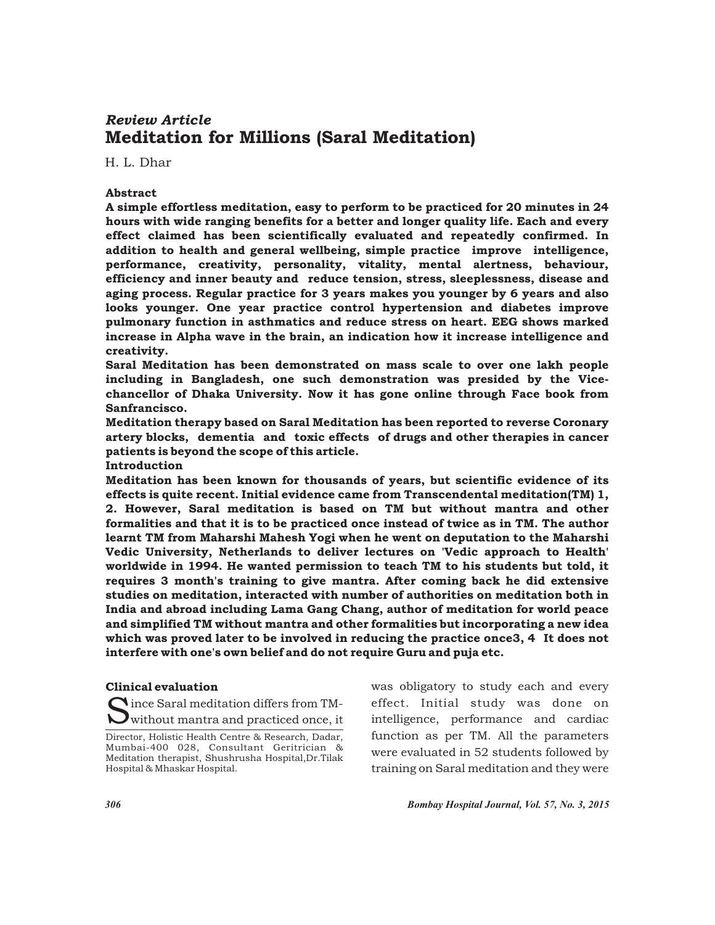# Meditation for Millions (Saral Meditation) *Review Article*

H. L. Dhar

## Abstract

A simple effortless meditation, easy to perform to be practiced for 20 minutes in 24 hours with wide ranging benefits for a better and longer quality life. Each and every effect claimed has been scientifically evaluated and repeatedly confirmed. In addition to health and general wellbeing, simple practice improve intelligence, performance, creativity, personality, vitality, mental alertness, behaviour, efficiency and inner beauty and reduce tension, stress, sleeplessness, disease and aging process. Regular practice for 3 years makes you younger by 6 years and also looks younger. One year practice control hypertension and diabetes improve pulmonary function in asthmatics and reduce stress on heart. EEG shows marked increase in Alpha wave in the brain, an indication how it increase intelligence and creativity.

Saral Meditation has been demonstrated on mass scale to over one lakh people including in Bangladesh, one such demonstration was presided by the Vicechancellor of Dhaka University. Now it has gone online through Face book from Sanfrancisco.

Meditation therapy based on Saral Meditation has been reported to reverse Coronary artery blocks, dementia and toxic effects of drugs and other therapies in cancer patients is beyond the scope of this article.

Introduction

Meditation has been known for thousands of years, but scientific evidence of its effects is quite recent. Initial evidence came from Transcendental meditation(TM) 1, 2. However, Saral meditation is based on TM but without mantra and other formalities and that it is to be practiced once instead of twice as in TM. The author learnt TM from Maharshi Mahesh Yogi when he went on deputation to the Maharshi Vedic University, Netherlands to deliver lectures on 'Vedic approach to Health' worldwide in 1994. He wanted permission to teach TM to his students but told, it requires 3 month's training to give mantra. After coming back he did extensive studies on meditation, interacted with number of authorities on meditation both in India and abroad including Lama Gang Chang, author of meditation for world peace and simplified TM without mantra and other formalities but incorporating a new idea which was proved later to be involved in reducing the practice once3, 4 It does not interfere with one's own belief and do not require Guru and puja etc.

#### Clinical evaluation

Since Saral meditation differs from TM-<br>Swithout mantra and practiced once, it

was obligatory to study each and every effect. Initial study was done on intelligence, performance and cardiac function as per TM. All the parameters were evaluated in 52 students followed by training on Saral meditation and they were

*306 Bombay Hospital Journal, Vol. 57, No. 3, 2015*

Director, Holistic Health Centre & Research, Dadar, Mumbai-400 028, Consultant Geritrician & Meditation therapist, Shushrusha Hospital,Dr.Tilak Hospital & Mhaskar Hospital.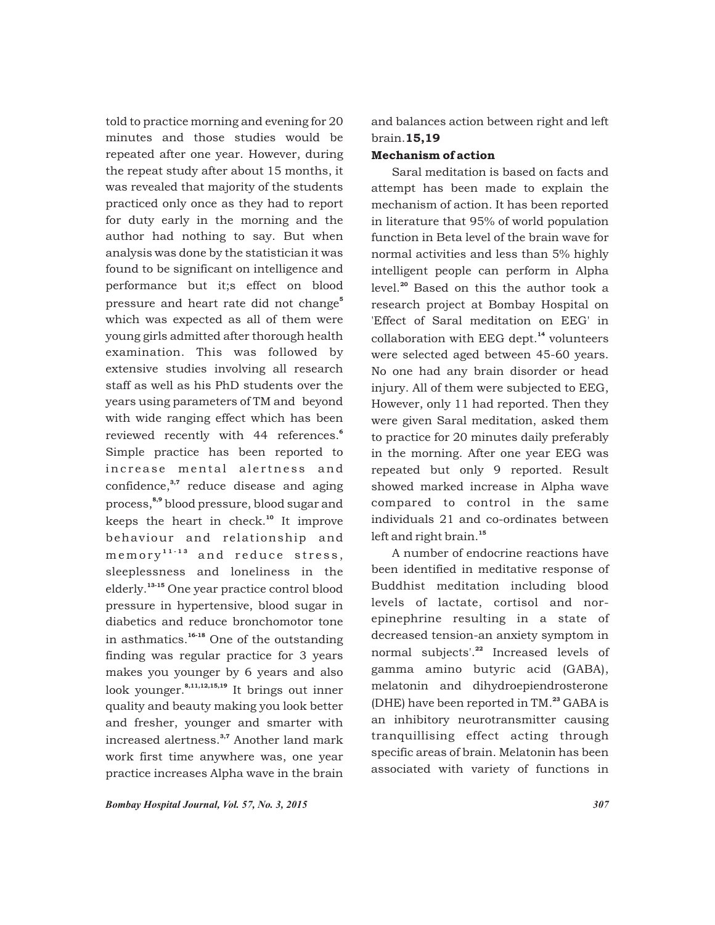told to practice morning and evening for 20 minutes and those studies would be repeated after one year. However, during the repeat study after about 15 months, it was revealed that majority of the students practiced only once as they had to report for duty early in the morning and the author had nothing to say. But when analysis was done by the statistician it was found to be significant on intelligence and performance but it;s effect on blood pressure and heart rate did not change<sup>5</sup> which was expected as all of them were young girls admitted after thorough health examination. This was followed by extensive studies involving all research staff as well as his PhD students over the years using parameters of TM and beyond with wide ranging effect which has been 6 reviewed recently with 44 references. Simple practice has been reported to increase mental alertness and confidence, $^{3,7}$  reduce disease and aging process,<sup>8,9</sup> blood pressure, blood sugar and keeps the heart in check. $10$  It improve behaviour and relationship and  $memory^{11 \cdot 13}$  and reduce stress, sleeplessness and loneliness in the elderly.<sup>13-15</sup> One year practice control blood pressure in hypertensive, blood sugar in diabetics and reduce bronchomotor tone in asthmatics.<sup>16-18</sup> One of the outstanding finding was regular practice for 3 years makes you younger by 6 years and also look younger.<sup>8,11,12,15,19</sup> It brings out inner quality and beauty making you look better and fresher, younger and smarter with increased alertness.<sup>3,7</sup> Another land mark work first time anywhere was, one year practice increases Alpha wave in the brain

and balances action between right and left brain.15,19

## Mechanism of action

Saral meditation is based on facts and attempt has been made to explain the mechanism of action. It has been reported in literature that 95% of world population function in Beta level of the brain wave for normal activities and less than 5% highly intelligent people can perform in Alpha level.<sup>20</sup> Based on this the author took a research project at Bombay Hospital on 'Effect of Saral meditation on EEG' in collaboration with EEG dept.<sup>14</sup> volunteers were selected aged between 45-60 years. No one had any brain disorder or head injury. All of them were subjected to EEG, However, only 11 had reported. Then they were given Saral meditation, asked them to practice for 20 minutes daily preferably in the morning. After one year EEG was repeated but only 9 reported. Result showed marked increase in Alpha wave compared to control in the same individuals 21 and co-ordinates between left and right brain.<sup>15</sup>

A number of endocrine reactions have been identified in meditative response of Buddhist meditation including blood levels of lactate, cortisol and norepinephrine resulting in a state of decreased tension-an anxiety symptom in normal subjects'.<sup>22</sup> Increased levels of gamma amino butyric acid (GABA), melatonin and dihydroepiendrosterone (DHE) have been reported in TM.<sup>23</sup> GABA is an inhibitory neurotransmitter causing tranquillising effect acting through specific areas of brain. Melatonin has been associated with variety of functions in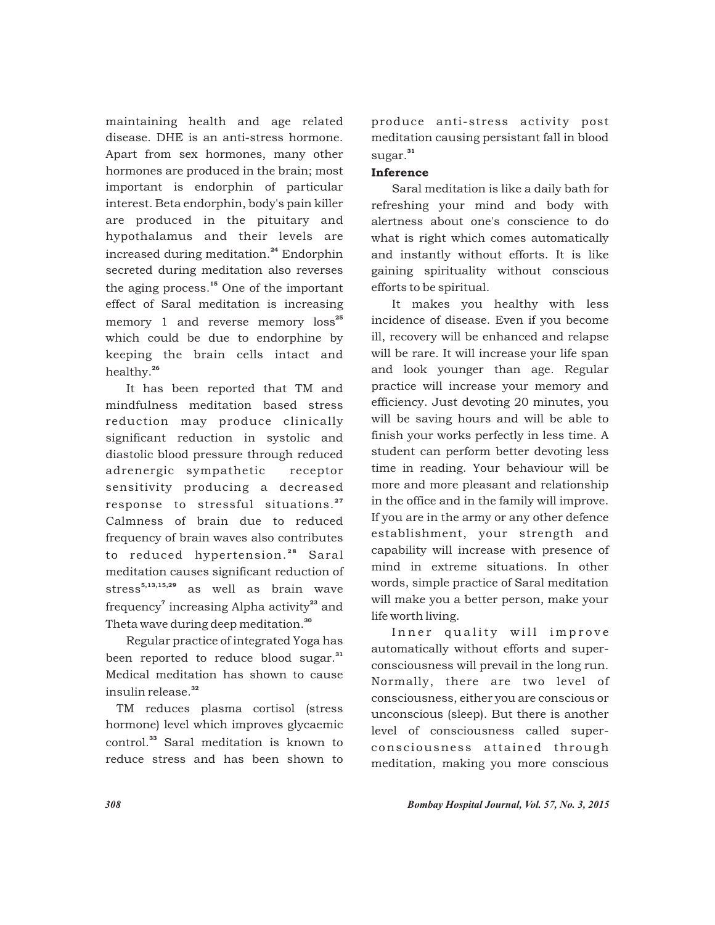maintaining health and age related disease. DHE is an anti-stress hormone. Apart from sex hormones, many other hormones are produced in the brain; most important is endorphin of particular interest. Beta endorphin, body's pain killer are produced in the pituitary and hypothalamus and their levels are increased during meditation.<sup>24</sup> Endorphin secreted during meditation also reverses the aging process. $15$  One of the important effect of Saral meditation is increasing memory 1 and reverse memory loss<sup>25</sup> which could be due to endorphine by keeping the brain cells intact and healthy.<sup>26</sup>

It has been reported that TM and mindfulness meditation based stress reduction may produce clinically significant reduction in systolic and diastolic blood pressure through reduced adrenergic sympathetic receptor sensitivity producing a decreased response to stressful situations.<sup>27</sup> Calmness of brain due to reduced frequency of brain waves also contributes to reduced hypertension.<sup>28</sup> Saral meditation causes significant reduction of stress<sup>5,13,15,29</sup> as well as brain wave frequency<sup> $\tau$ </sup> increasing Alpha activity<sup>23</sup> and Theta wave during deep meditation.<sup>30</sup>

Regular practice of integrated Yoga has been reported to reduce blood sugar.<sup>31</sup> Medical meditation has shown to cause insulin release.<sup>32</sup>

TM reduces plasma cortisol (stress hormone) level which improves glycaemic control.<sup>33</sup> Saral meditation is known to reduce stress and has been shown to

produce anti-stress activity post meditation causing persistant fall in blood sugar.<sup>31</sup>

## Inference

Saral meditation is like a daily bath for refreshing your mind and body with alertness about one's conscience to do what is right which comes automatically and instantly without efforts. It is like gaining spirituality without conscious efforts to be spiritual.

It makes you healthy with less incidence of disease. Even if you become ill, recovery will be enhanced and relapse will be rare. It will increase your life span and look younger than age. Regular practice will increase your memory and efficiency. Just devoting 20 minutes, you will be saving hours and will be able to finish your works perfectly in less time. A student can perform better devoting less time in reading. Your behaviour will be more and more pleasant and relationship in the office and in the family will improve. If you are in the army or any other defence establishment, your strength and capability will increase with presence of mind in extreme situations. In other words, simple practice of Saral meditation will make you a better person, make your life worth living.

Inner quality will improve automatically without efforts and superconsciousness will prevail in the long run. Normally, there are two level of consciousness, either you are conscious or unconscious (sleep). But there is another level of consciousness called superconsciousness attained through meditation, making you more conscious

*308 Bombay Hospital Journal, Vol. 57, No. 3, 2015*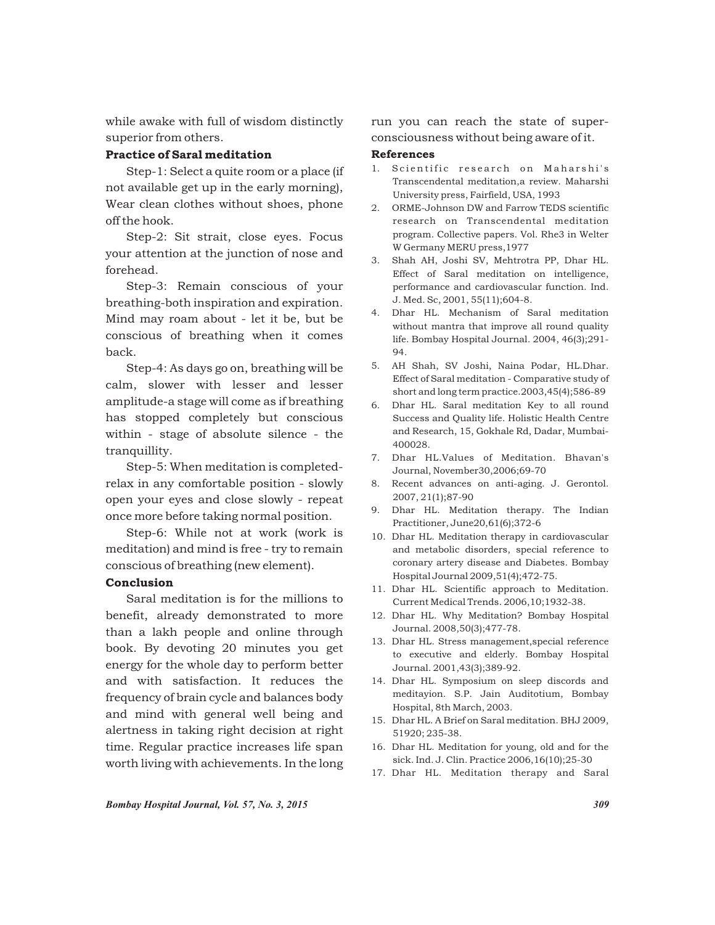while awake with full of wisdom distinctly superior from others.

## Practice of Saral meditation

Step-1: Select a quite room or a place (if not available get up in the early morning), Wear clean clothes without shoes, phone off the hook.

Step-2: Sit strait, close eyes. Focus your attention at the junction of nose and forehead.

Step-3: Remain conscious of your breathing-both inspiration and expiration. Mind may roam about - let it be, but be conscious of breathing when it comes back.

Step-4: As days go on, breathing will be calm, slower with lesser and lesser amplitude-a stage will come as if breathing has stopped completely but conscious within - stage of absolute silence - the tranquillity.

Step-5: When meditation is completedrelax in any comfortable position - slowly open your eyes and close slowly - repeat once more before taking normal position.

Step-6: While not at work (work is meditation) and mind is free - try to remain conscious of breathing (new element).

## Conclusion

Saral meditation is for the millions to benefit, already demonstrated to more than a lakh people and online through book. By devoting 20 minutes you get energy for the whole day to perform better and with satisfaction. It reduces the frequency of brain cycle and balances body and mind with general well being and alertness in taking right decision at right time. Regular practice increases life span worth living with achievements. In the long

run you can reach the state of superconsciousness without being aware of it.

#### References

- 1. Scientific research on Maharshi's Transcendental meditation,a review. Maharshi University press, Fairfield, USA, 1993
- 2. ORME-Johnson DW and Farrow TEDS scientific research on Transcendental meditation program. Collective papers. Vol. Rhe3 in Welter W Germany MERU press,1977
- 3. Shah AH, Joshi SV, Mehtrotra PP, Dhar HL. Effect of Saral meditation on intelligence, performance and cardiovascular function. Ind. J. Med. Sc, 2001, 55(11);604-8.
- 4. Dhar HL. Mechanism of Saral meditation without mantra that improve all round quality life. Bombay Hospital Journal. 2004, 46(3);291- 94.
- 5. AH Shah, SV Joshi, Naina Podar, HL.Dhar. Effect of Saral meditation - Comparative study of short and long term practice.2003,45(4);586-89
- 6. Dhar HL. Saral meditation Key to all round Success and Quality life. Holistic Health Centre and Research, 15, Gokhale Rd, Dadar, Mumbai-400028.
- 7. Dhar HL.Values of Meditation. Bhavan's Journal, November30,2006;69-70
- 8. Recent advances on anti-aging. J. Gerontol. 2007, 21(1);87-90
- 9. Dhar HL. Meditation therapy. The Indian Practitioner, June20,61(6);372-6
- 10. Dhar HL. Meditation therapy in cardiovascular and metabolic disorders, special reference to coronary artery disease and Diabetes. Bombay Hospital Journal 2009,51(4);472-75.
- 11. Dhar HL. Scientific approach to Meditation. Current Medical Trends. 2006,10;1932-38.
- 12. Dhar HL. Why Meditation? Bombay Hospital Journal. 2008,50(3);477-78.
- 13. Dhar HL. Stress management,special reference to executive and elderly. Bombay Hospital Journal. 2001,43(3);389-92.
- 14. Dhar HL. Symposium on sleep discords and meditayion. S.P. Jain Auditotium, Bombay Hospital, 8th March, 2003.
- 15. Dhar HL. A Brief on Saral meditation. BHJ 2009, 51920; 235-38.
- 16. Dhar HL. Meditation for young, old and for the sick. Ind. J. Clin. Practice 2006,16(10);25-30
- 17. Dhar HL. Meditation therapy and Saral

*Bombay Hospital Journal, Vol. 57, No. 3, 2015 309*